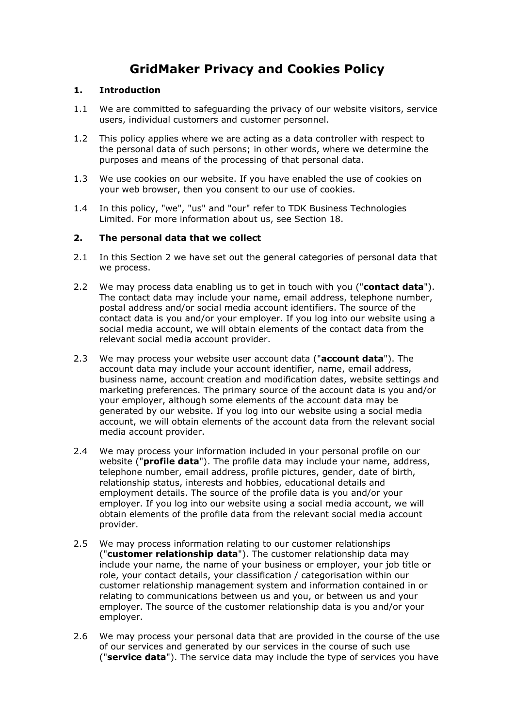# **GridMaker Privacy and Cookies Policy**

## **1. Introduction**

- 1.1 We are committed to safeguarding the privacy of our website visitors, service users, individual customers and customer personnel.
- 1.2 This policy applies where we are acting as a data controller with respect to the personal data of such persons; in other words, where we determine the purposes and means of the processing of that personal data.
- 1.3 We use cookies on our website. If you have enabled the use of cookies on your web browser, then you consent to our use of cookies.
- 1.4 In this policy, "we", "us" and "our" refer to TDK Business Technologies Limited. For more information about us, see Section 18.

## **2. The personal data that we collect**

- 2.1 In this Section 2 we have set out the general categories of personal data that we process.
- 2.2 We may process data enabling us to get in touch with you ("**contact data**"). The contact data may include your name, email address, telephone number, postal address and/or social media account identifiers. The source of the contact data is you and/or your employer. If you log into our website using a social media account, we will obtain elements of the contact data from the relevant social media account provider.
- 2.3 We may process your website user account data ("**account data**"). The account data may include your account identifier, name, email address, business name, account creation and modification dates, website settings and marketing preferences. The primary source of the account data is you and/or your employer, although some elements of the account data may be generated by our website. If you log into our website using a social media account, we will obtain elements of the account data from the relevant social media account provider.
- 2.4 We may process your information included in your personal profile on our website ("**profile data**"). The profile data may include your name, address, telephone number, email address, profile pictures, gender, date of birth, relationship status, interests and hobbies, educational details and employment details. The source of the profile data is you and/or your employer. If you log into our website using a social media account, we will obtain elements of the profile data from the relevant social media account provider.
- 2.5 We may process information relating to our customer relationships ("**customer relationship data**"). The customer relationship data may include your name, the name of your business or employer, your job title or role, your contact details, your classification / categorisation within our customer relationship management system and information contained in or relating to communications between us and you, or between us and your employer. The source of the customer relationship data is you and/or your employer.
- 2.6 We may process your personal data that are provided in the course of the use of our services and generated by our services in the course of such use ("**service data**"). The service data may include the type of services you have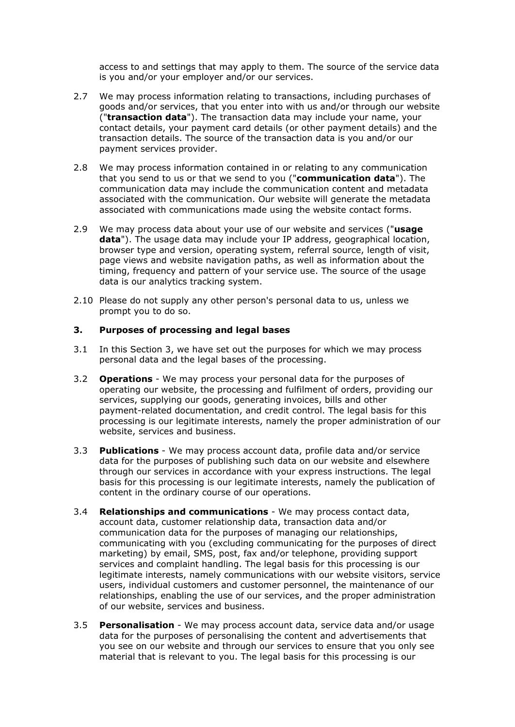access to and settings that may apply to them. The source of the service data is you and/or your employer and/or our services.

- 2.7 We may process information relating to transactions, including purchases of goods and/or services, that you enter into with us and/or through our website ("**transaction data**"). The transaction data may include your name, your contact details, your payment card details (or other payment details) and the transaction details. The source of the transaction data is you and/or our payment services provider.
- 2.8 We may process information contained in or relating to any communication that you send to us or that we send to you ("**communication data**"). The communication data may include the communication content and metadata associated with the communication. Our website will generate the metadata associated with communications made using the website contact forms.
- 2.9 We may process data about your use of our website and services ("**usage data**"). The usage data may include your IP address, geographical location, browser type and version, operating system, referral source, length of visit, page views and website navigation paths, as well as information about the timing, frequency and pattern of your service use. The source of the usage data is our analytics tracking system.
- 2.10 Please do not supply any other person's personal data to us, unless we prompt you to do so.

#### **3. Purposes of processing and legal bases**

- 3.1 In this Section 3, we have set out the purposes for which we may process personal data and the legal bases of the processing.
- 3.2 **Operations** We may process your personal data for the purposes of operating our website, the processing and fulfilment of orders, providing our services, supplying our goods, generating invoices, bills and other payment-related documentation, and credit control. The legal basis for this processing is our legitimate interests, namely the proper administration of our website, services and business.
- 3.3 **Publications** We may process account data, profile data and/or service data for the purposes of publishing such data on our website and elsewhere through our services in accordance with your express instructions. The legal basis for this processing is our legitimate interests, namely the publication of content in the ordinary course of our operations.
- 3.4 **Relationships and communications** We may process contact data, account data, customer relationship data, transaction data and/or communication data for the purposes of managing our relationships, communicating with you (excluding communicating for the purposes of direct marketing) by email, SMS, post, fax and/or telephone, providing support services and complaint handling. The legal basis for this processing is our legitimate interests, namely communications with our website visitors, service users, individual customers and customer personnel, the maintenance of our relationships, enabling the use of our services, and the proper administration of our website, services and business.
- 3.5 **Personalisation** We may process account data, service data and/or usage data for the purposes of personalising the content and advertisements that you see on our website and through our services to ensure that you only see material that is relevant to you. The legal basis for this processing is our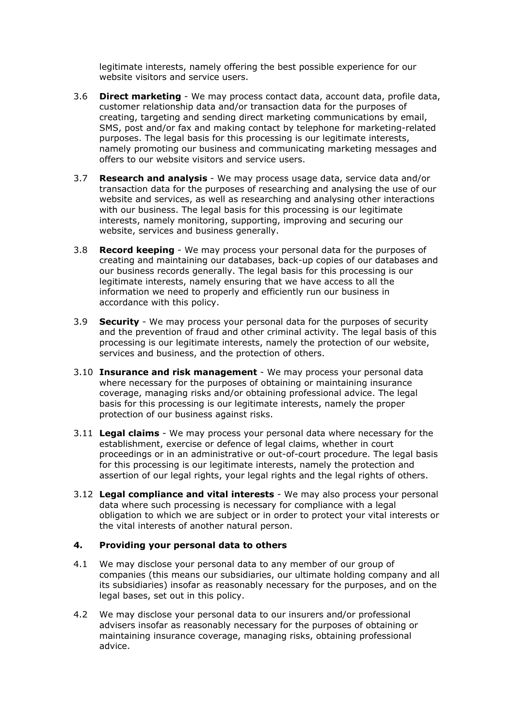legitimate interests, namely offering the best possible experience for our website visitors and service users.

- 3.6 **Direct marketing** We may process contact data, account data, profile data, customer relationship data and/or transaction data for the purposes of creating, targeting and sending direct marketing communications by email, SMS, post and/or fax and making contact by telephone for marketing-related purposes. The legal basis for this processing is our legitimate interests, namely promoting our business and communicating marketing messages and offers to our website visitors and service users.
- 3.7 **Research and analysis** We may process usage data, service data and/or transaction data for the purposes of researching and analysing the use of our website and services, as well as researching and analysing other interactions with our business. The legal basis for this processing is our legitimate interests, namely monitoring, supporting, improving and securing our website, services and business generally.
- 3.8 **Record keeping** We may process your personal data for the purposes of creating and maintaining our databases, back-up copies of our databases and our business records generally. The legal basis for this processing is our legitimate interests, namely ensuring that we have access to all the information we need to properly and efficiently run our business in accordance with this policy.
- 3.9 **Security** We may process your personal data for the purposes of security and the prevention of fraud and other criminal activity. The legal basis of this processing is our legitimate interests, namely the protection of our website, services and business, and the protection of others.
- 3.10 **Insurance and risk management** We may process your personal data where necessary for the purposes of obtaining or maintaining insurance coverage, managing risks and/or obtaining professional advice. The legal basis for this processing is our legitimate interests, namely the proper protection of our business against risks.
- 3.11 **Legal claims** We may process your personal data where necessary for the establishment, exercise or defence of legal claims, whether in court proceedings or in an administrative or out-of-court procedure. The legal basis for this processing is our legitimate interests, namely the protection and assertion of our legal rights, your legal rights and the legal rights of others.
- 3.12 **Legal compliance and vital interests** We may also process your personal data where such processing is necessary for compliance with a legal obligation to which we are subject or in order to protect your vital interests or the vital interests of another natural person.

#### **4. Providing your personal data to others**

- 4.1 We may disclose your personal data to any member of our group of companies (this means our subsidiaries, our ultimate holding company and all its subsidiaries) insofar as reasonably necessary for the purposes, and on the legal bases, set out in this policy.
- 4.2 We may disclose your personal data to our insurers and/or professional advisers insofar as reasonably necessary for the purposes of obtaining or maintaining insurance coverage, managing risks, obtaining professional advice.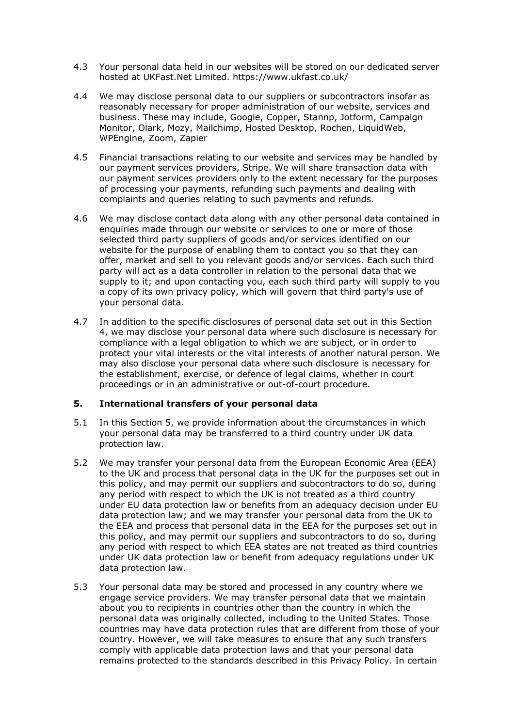- 4.3 Your personal data held in our websites will be stored on our dedicated server hosted at UKFast.Net Limited. https://www.ukfast.co.uk/
- 4.4 We may disclose personal data to our suppliers or subcontractors insofar as reasonably necessary for proper administration of our website, services and business. These may include, Google, Copper, Stannp, Jotform, Campaign Monitor, Olark, Mozy, Mailchimp, Hosted Desktop, Rochen, LiquidWeb, WPEngine, Zoom, Zapier
- 4.5 Financial transactions relating to our website and services may be handled by our payment services providers, Stripe. We will share transaction data with our payment services providers only to the extent necessary for the purposes of processing your payments, refunding such payments and dealing with complaints and queries relating to such payments and refunds.
- 4.6 We may disclose contact data along with any other personal data contained in enquiries made through our website or services to one or more of those selected third party suppliers of goods and/or services identified on our website for the purpose of enabling them to contact you so that they can offer, market and sell to you relevant goods and/or services. Each such third party will act as a data controller in relation to the personal data that we supply to it; and upon contacting you, each such third party will supply to you a copy of its own privacy policy, which will govern that third party's use of your personal data.
- 4.7 In addition to the specific disclosures of personal data set out in this Section 4, we may disclose your personal data where such disclosure is necessary for compliance with a legal obligation to which we are subject, or in order to protect your vital interests or the vital interests of another natural person. We may also disclose your personal data where such disclosure is necessary for the establishment, exercise, or defence of legal claims, whether in court proceedings or in an administrative or out-of-court procedure.

#### **5. International transfers of your personal data**

- 5.1 In this Section 5, we provide information about the circumstances in which your personal data may be transferred to a third country under UK data protection law.
- 5.2 We may transfer your personal data from the European Economic Area (EEA) to the UK and process that personal data in the UK for the purposes set out in this policy, and may permit our suppliers and subcontractors to do so, during any period with respect to which the UK is not treated as a third country under EU data protection law or benefits from an adequacy decision under EU data protection law; and we may transfer your personal data from the UK to the EEA and process that personal data in the EEA for the purposes set out in this policy, and may permit our suppliers and subcontractors to do so, during any period with respect to which EEA states are not treated as third countries under UK data protection law or benefit from adequacy regulations under UK data protection law.
- 5.3 Your personal data may be stored and processed in any country where we engage service providers. We may transfer personal data that we maintain about you to recipients in countries other than the country in which the personal data was originally collected, including to the United States. Those countries may have data protection rules that are different from those of your country. However, we will take measures to ensure that any such transfers comply with applicable data protection laws and that your personal data remains protected to the standards described in this Privacy Policy. In certain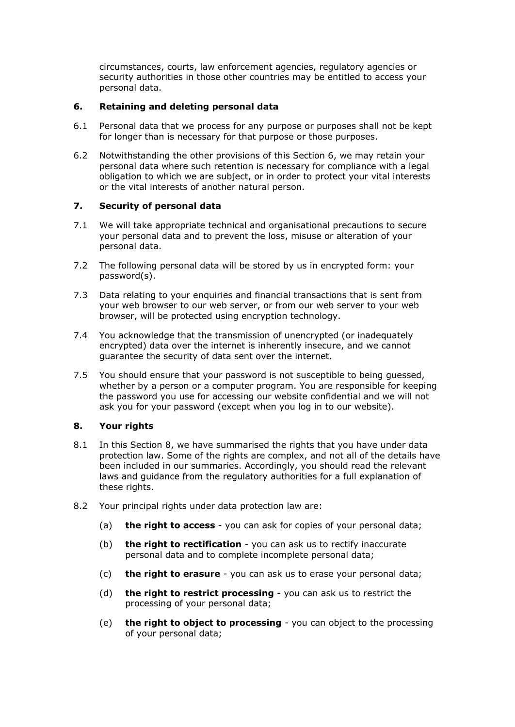circumstances, courts, law enforcement agencies, regulatory agencies or security authorities in those other countries may be entitled to access your personal data.

## **6. Retaining and deleting personal data**

- 6.1 Personal data that we process for any purpose or purposes shall not be kept for longer than is necessary for that purpose or those purposes.
- 6.2 Notwithstanding the other provisions of this Section 6, we may retain your personal data where such retention is necessary for compliance with a legal obligation to which we are subject, or in order to protect your vital interests or the vital interests of another natural person.

## **7. Security of personal data**

- 7.1 We will take appropriate technical and organisational precautions to secure your personal data and to prevent the loss, misuse or alteration of your personal data.
- 7.2 The following personal data will be stored by us in encrypted form: your password(s).
- 7.3 Data relating to your enquiries and financial transactions that is sent from your web browser to our web server, or from our web server to your web browser, will be protected using encryption technology.
- 7.4 You acknowledge that the transmission of unencrypted (or inadequately encrypted) data over the internet is inherently insecure, and we cannot guarantee the security of data sent over the internet.
- 7.5 You should ensure that your password is not susceptible to being guessed, whether by a person or a computer program. You are responsible for keeping the password you use for accessing our website confidential and we will not ask you for your password (except when you log in to our website).

#### **8. Your rights**

- 8.1 In this Section 8, we have summarised the rights that you have under data protection law. Some of the rights are complex, and not all of the details have been included in our summaries. Accordingly, you should read the relevant laws and guidance from the regulatory authorities for a full explanation of these rights.
- 8.2 Your principal rights under data protection law are:
	- (a) **the right to access** you can ask for copies of your personal data;
	- (b) **the right to rectification** you can ask us to rectify inaccurate personal data and to complete incomplete personal data;
	- (c) **the right to erasure** you can ask us to erase your personal data;
	- (d) **the right to restrict processing** you can ask us to restrict the processing of your personal data;
	- (e) **the right to object to processing** you can object to the processing of your personal data;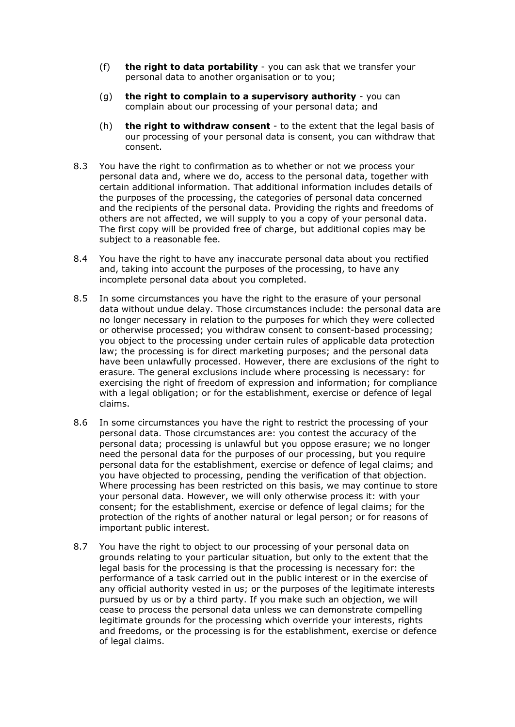- (f) **the right to data portability** you can ask that we transfer your personal data to another organisation or to you;
- (g) **the right to complain to a supervisory authority** you can complain about our processing of your personal data; and
- (h) **the right to withdraw consent** to the extent that the legal basis of our processing of your personal data is consent, you can withdraw that consent.
- 8.3 You have the right to confirmation as to whether or not we process your personal data and, where we do, access to the personal data, together with certain additional information. That additional information includes details of the purposes of the processing, the categories of personal data concerned and the recipients of the personal data. Providing the rights and freedoms of others are not affected, we will supply to you a copy of your personal data. The first copy will be provided free of charge, but additional copies may be subject to a reasonable fee.
- 8.4 You have the right to have any inaccurate personal data about you rectified and, taking into account the purposes of the processing, to have any incomplete personal data about you completed.
- 8.5 In some circumstances you have the right to the erasure of your personal data without undue delay. Those circumstances include: the personal data are no longer necessary in relation to the purposes for which they were collected or otherwise processed; you withdraw consent to consent-based processing; you object to the processing under certain rules of applicable data protection law; the processing is for direct marketing purposes; and the personal data have been unlawfully processed. However, there are exclusions of the right to erasure. The general exclusions include where processing is necessary: for exercising the right of freedom of expression and information; for compliance with a legal obligation; or for the establishment, exercise or defence of legal claims.
- 8.6 In some circumstances you have the right to restrict the processing of your personal data. Those circumstances are: you contest the accuracy of the personal data; processing is unlawful but you oppose erasure; we no longer need the personal data for the purposes of our processing, but you require personal data for the establishment, exercise or defence of legal claims; and you have objected to processing, pending the verification of that objection. Where processing has been restricted on this basis, we may continue to store your personal data. However, we will only otherwise process it: with your consent; for the establishment, exercise or defence of legal claims; for the protection of the rights of another natural or legal person; or for reasons of important public interest.
- 8.7 You have the right to object to our processing of your personal data on grounds relating to your particular situation, but only to the extent that the legal basis for the processing is that the processing is necessary for: the performance of a task carried out in the public interest or in the exercise of any official authority vested in us; or the purposes of the legitimate interests pursued by us or by a third party. If you make such an objection, we will cease to process the personal data unless we can demonstrate compelling legitimate grounds for the processing which override your interests, rights and freedoms, or the processing is for the establishment, exercise or defence of legal claims.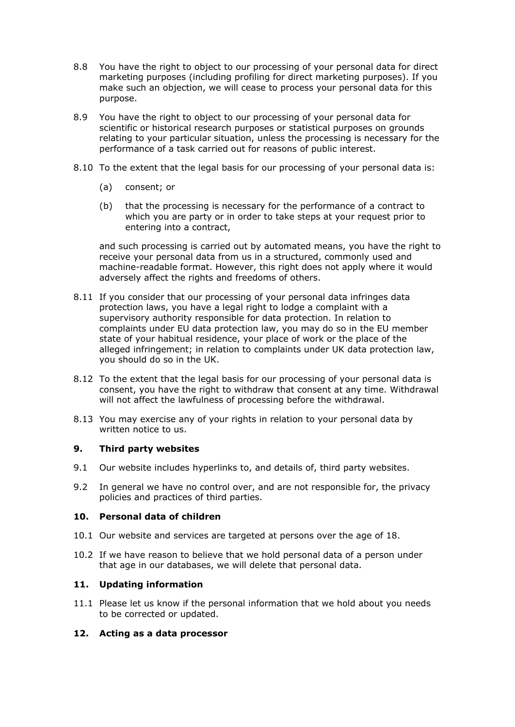- 8.8 You have the right to object to our processing of your personal data for direct marketing purposes (including profiling for direct marketing purposes). If you make such an objection, we will cease to process your personal data for this purpose.
- 8.9 You have the right to object to our processing of your personal data for scientific or historical research purposes or statistical purposes on grounds relating to your particular situation, unless the processing is necessary for the performance of a task carried out for reasons of public interest.
- 8.10 To the extent that the legal basis for our processing of your personal data is:
	- (a) consent; or
	- (b) that the processing is necessary for the performance of a contract to which you are party or in order to take steps at your request prior to entering into a contract,

and such processing is carried out by automated means, you have the right to receive your personal data from us in a structured, commonly used and machine-readable format. However, this right does not apply where it would adversely affect the rights and freedoms of others.

- 8.11 If you consider that our processing of your personal data infringes data protection laws, you have a legal right to lodge a complaint with a supervisory authority responsible for data protection. In relation to complaints under EU data protection law, you may do so in the EU member state of your habitual residence, your place of work or the place of the alleged infringement; in relation to complaints under UK data protection law, you should do so in the UK.
- 8.12 To the extent that the legal basis for our processing of your personal data is consent, you have the right to withdraw that consent at any time. Withdrawal will not affect the lawfulness of processing before the withdrawal.
- 8.13 You may exercise any of your rights in relation to your personal data by written notice to us.

## **9. Third party websites**

- 9.1 Our website includes hyperlinks to, and details of, third party websites.
- 9.2 In general we have no control over, and are not responsible for, the privacy policies and practices of third parties.

## **10. Personal data of children**

- 10.1 Our website and services are targeted at persons over the age of 18.
- 10.2 If we have reason to believe that we hold personal data of a person under that age in our databases, we will delete that personal data.

## **11. Updating information**

11.1 Please let us know if the personal information that we hold about you needs to be corrected or updated.

#### **12. Acting as a data processor**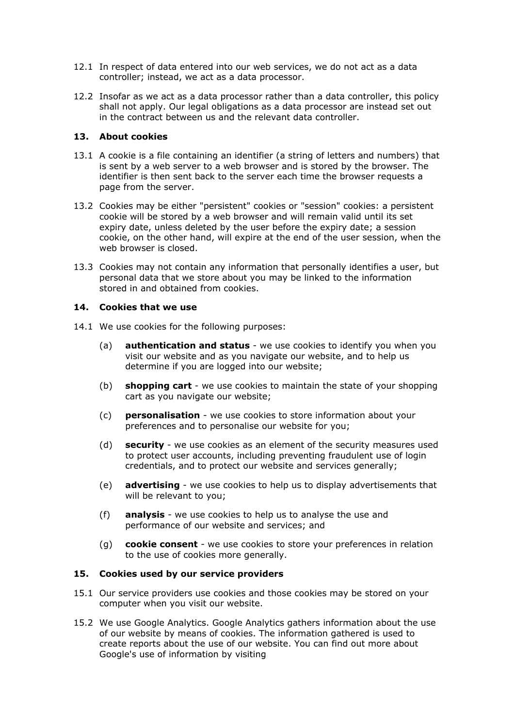- 12.1 In respect of data entered into our web services, we do not act as a data controller; instead, we act as a data processor.
- 12.2 Insofar as we act as a data processor rather than a data controller, this policy shall not apply. Our legal obligations as a data processor are instead set out in the contract between us and the relevant data controller.

#### **13. About cookies**

- 13.1 A cookie is a file containing an identifier (a string of letters and numbers) that is sent by a web server to a web browser and is stored by the browser. The identifier is then sent back to the server each time the browser requests a page from the server.
- 13.2 Cookies may be either "persistent" cookies or "session" cookies: a persistent cookie will be stored by a web browser and will remain valid until its set expiry date, unless deleted by the user before the expiry date; a session cookie, on the other hand, will expire at the end of the user session, when the web browser is closed.
- 13.3 Cookies may not contain any information that personally identifies a user, but personal data that we store about you may be linked to the information stored in and obtained from cookies.

## **14. Cookies that we use**

- 14.1 We use cookies for the following purposes:
	- (a) **authentication and status** we use cookies to identify you when you visit our website and as you navigate our website, and to help us determine if you are logged into our website;
	- (b) **shopping cart** we use cookies to maintain the state of your shopping cart as you navigate our website;
	- (c) **personalisation** we use cookies to store information about your preferences and to personalise our website for you;
	- (d) **security** we use cookies as an element of the security measures used to protect user accounts, including preventing fraudulent use of login credentials, and to protect our website and services generally;
	- (e) **advertising** we use cookies to help us to display advertisements that will be relevant to you;
	- (f) **analysis** we use cookies to help us to analyse the use and performance of our website and services; and
	- (g) **cookie consent** we use cookies to store your preferences in relation to the use of cookies more generally.

#### **15. Cookies used by our service providers**

- 15.1 Our service providers use cookies and those cookies may be stored on your computer when you visit our website.
- 15.2 We use Google Analytics. Google Analytics gathers information about the use of our website by means of cookies. The information gathered is used to create reports about the use of our website. You can find out more about Google's use of information by visiting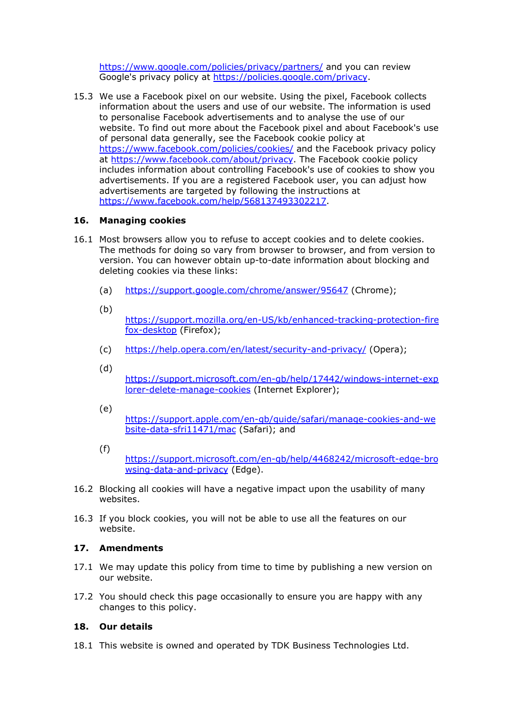<https://www.google.com/policies/privacy/partners/> and you can review Google's privacy policy at <https://policies.google.com/privacy>.

15.3 We use a Facebook pixel on our website. Using the pixel, Facebook collects information about the users and use of our website. The information is used to personalise Facebook advertisements and to analyse the use of our website. To find out more about the Facebook pixel and about Facebook's use of personal data generally, see the Facebook cookie policy at <https://www.facebook.com/policies/cookies/> and the Facebook privacy policy at <https://www.facebook.com/about/privacy>. The Facebook cookie policy includes information about controlling Facebook's use of cookies to show you advertisements. If you are a registered Facebook user, you can adjust how advertisements are targeted by following the instructions at [https://www.facebook.com/help/568137493302217.](https://www.facebook.com/help/568137493302217)

## **16. Managing cookies**

- 16.1 Most browsers allow you to refuse to accept cookies and to delete cookies. The methods for doing so vary from browser to browser, and from version to version. You can however obtain up-to-date information about blocking and deleting cookies via these links:
	- (a) <https://support.google.com/chrome/answer/95647> (Chrome);
	- (b)

[https://support.mozilla.org/en-US/kb/enhanced-tracking-protection-fire](https://support.mozilla.org/en-US/kb/enhanced-tracking-protection-firefox-desktop) [fox-desktop](https://support.mozilla.org/en-US/kb/enhanced-tracking-protection-firefox-desktop) (Firefox);

- (c) <https://help.opera.com/en/latest/security-and-privacy/> (Opera);
- (d)

[https://support.microsoft.com/en-gb/help/17442/windows-internet-exp](https://support.microsoft.com/en-gb/help/17442/windows-internet-explorer-delete-manage-cookies) [lorer-delete-manage-cookies](https://support.microsoft.com/en-gb/help/17442/windows-internet-explorer-delete-manage-cookies) (Internet Explorer);

(e)

[https://support.apple.com/en-gb/guide/safari/manage-cookies-and-we](https://support.apple.com/en-gb/guide/safari/manage-cookies-and-website-data-sfri11471/mac) [bsite-data-sfri11471/mac](https://support.apple.com/en-gb/guide/safari/manage-cookies-and-website-data-sfri11471/mac) (Safari); and

- (f) [https://support.microsoft.com/en-gb/help/4468242/microsoft-edge-bro](https://support.microsoft.com/en-gb/help/4468242/microsoft-edge-browsing-data-and-privacy) [wsing-data-and-privacy](https://support.microsoft.com/en-gb/help/4468242/microsoft-edge-browsing-data-and-privacy) (Edge).
- 16.2 Blocking all cookies will have a negative impact upon the usability of many websites.
- 16.3 If you block cookies, you will not be able to use all the features on our website.

# **17. Amendments**

- 17.1 We may update this policy from time to time by publishing a new version on our website.
- 17.2 You should check this page occasionally to ensure you are happy with any changes to this policy.

# **18. Our details**

18.1 This website is owned and operated by TDK Business Technologies Ltd.